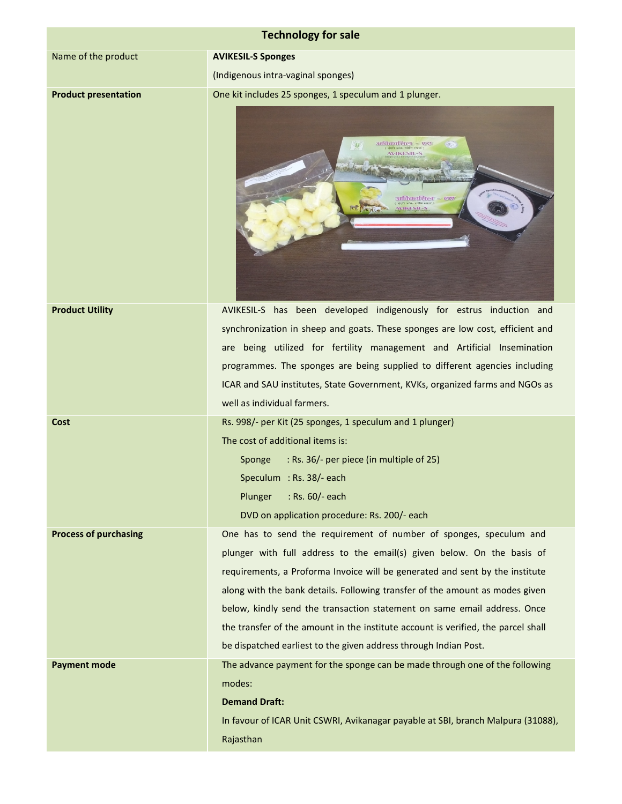| <b>Technology for sale</b>   |                                                                                                                                                                                                                                                                                                                                                                                                                                                                                                                                                   |  |  |
|------------------------------|---------------------------------------------------------------------------------------------------------------------------------------------------------------------------------------------------------------------------------------------------------------------------------------------------------------------------------------------------------------------------------------------------------------------------------------------------------------------------------------------------------------------------------------------------|--|--|
| Name of the product          | <b>AVIKESIL-S Sponges</b>                                                                                                                                                                                                                                                                                                                                                                                                                                                                                                                         |  |  |
|                              | (Indigenous intra-vaginal sponges)                                                                                                                                                                                                                                                                                                                                                                                                                                                                                                                |  |  |
| <b>Product presentation</b>  | One kit includes 25 sponges, 1 speculum and 1 plunger.                                                                                                                                                                                                                                                                                                                                                                                                                                                                                            |  |  |
|                              | अविकासिल = एस<br><b>VIKESIL-S</b><br>अविकासित्वा – एस                                                                                                                                                                                                                                                                                                                                                                                                                                                                                             |  |  |
| <b>Product Utility</b>       | AVIKESIL-S has been developed indigenously for estrus induction and<br>synchronization in sheep and goats. These sponges are low cost, efficient and<br>are being utilized for fertility management and Artificial Insemination<br>programmes. The sponges are being supplied to different agencies including<br>ICAR and SAU institutes, State Government, KVKs, organized farms and NGOs as<br>well as individual farmers.                                                                                                                      |  |  |
| Cost                         | Rs. 998/- per Kit (25 sponges, 1 speculum and 1 plunger)                                                                                                                                                                                                                                                                                                                                                                                                                                                                                          |  |  |
|                              | The cost of additional items is:                                                                                                                                                                                                                                                                                                                                                                                                                                                                                                                  |  |  |
|                              | : Rs. 36/- per piece (in multiple of 25)<br>Sponge                                                                                                                                                                                                                                                                                                                                                                                                                                                                                                |  |  |
|                              | Speculum : Rs. 38/- each                                                                                                                                                                                                                                                                                                                                                                                                                                                                                                                          |  |  |
|                              | Plunger<br>: Rs. 60/- each                                                                                                                                                                                                                                                                                                                                                                                                                                                                                                                        |  |  |
|                              | DVD on application procedure: Rs. 200/- each                                                                                                                                                                                                                                                                                                                                                                                                                                                                                                      |  |  |
| <b>Process of purchasing</b> | One has to send the requirement of number of sponges, speculum and<br>plunger with full address to the email(s) given below. On the basis of<br>requirements, a Proforma Invoice will be generated and sent by the institute<br>along with the bank details. Following transfer of the amount as modes given<br>below, kindly send the transaction statement on same email address. Once<br>the transfer of the amount in the institute account is verified, the parcel shall<br>be dispatched earliest to the given address through Indian Post. |  |  |
| <b>Payment mode</b>          | The advance payment for the sponge can be made through one of the following                                                                                                                                                                                                                                                                                                                                                                                                                                                                       |  |  |
|                              | modes:                                                                                                                                                                                                                                                                                                                                                                                                                                                                                                                                            |  |  |
|                              | <b>Demand Draft:</b>                                                                                                                                                                                                                                                                                                                                                                                                                                                                                                                              |  |  |
|                              | In favour of ICAR Unit CSWRI, Avikanagar payable at SBI, branch Malpura (31088),                                                                                                                                                                                                                                                                                                                                                                                                                                                                  |  |  |
|                              | Rajasthan                                                                                                                                                                                                                                                                                                                                                                                                                                                                                                                                         |  |  |